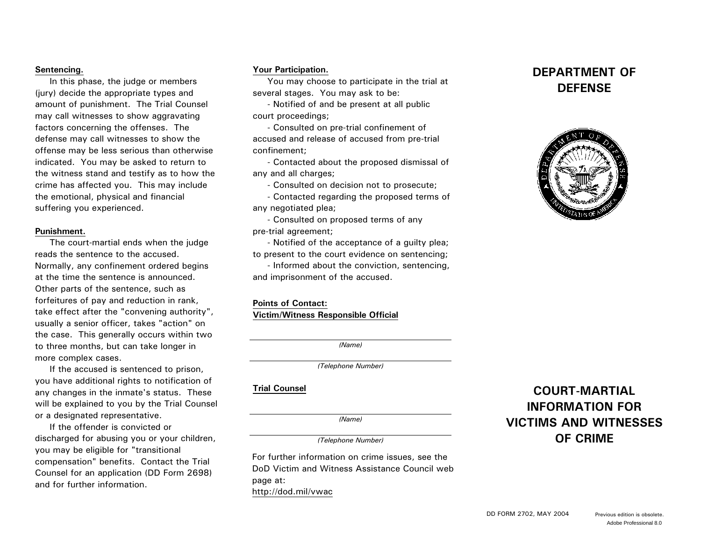#### **Sentencing.**

 In this phase, the judge or members (jury) decide the appropriate types and amount of punishment. The Trial Counsel may call witnesses to show aggravating factors concerning the offenses. The defense may call witnesses to show the offense may be less serious than otherwise indicated. You may be asked to return to the witness stand and testify as to how the crime has affected you. This may include the emotional, physical and financial suffering you experienced.

#### **Punishment.**

 The court-martial ends when the judge reads the sentence to the accused. Normally, any confinement ordered begins at the time the sentence is announced. Other parts of the sentence, such as forfeitures of pay and reduction in rank, take effect after the "convening authority", usually a senior officer, takes "action" on the case. This generally occurs within two to three months, but can take longer in more complex cases.

 If the accused is sentenced to prison, you have additional rights to notification of any changes in the inmate's status. These will be explained to you by the Trial Counsel or a designated representative.

 If the offender is convicted ordischarged for abusing you or your children, you may be eligible for "transitional compensation" benefits. Contact the Trial Counsel for an application (DD Form 2698) and for further information.

## **Your Participation.**

 You may choose to participate in the trial at several stages. You may ask to be:

 - Notified of and be present at all public court proceedings;

 - Consulted on pre-trial confinement of accused and release of accused from pre-trial confinement;

 - Contacted about the proposed dismissal of any and all charges;

- Consulted on decision not to prosecute;

 - Contacted regarding the proposed terms of any negotiated plea;

 - Consulted on proposed terms of any pre-trial agreement;

 - Notified of the acceptance of a guilty plea; to present to the court evidence on sentencing;

 - Informed about the conviction, sentencing, and imprisonment of the accused.

## **Points of Contact:**

**Victim/Witness Responsible Official**

*(Name)*

*(Telephone Number)*

#### **Trial Counsel**

*(Name)*

*(Telephone Number)*

For further information on crime issues, see the DoD Victim and Witness Assistance Council webpage at: http://dod.mil/vwac

## **DEPARTMENT OFDEFENSE**



# **COURT-MARTIALINFORMATION FORVICTIMS AND WITNESSESOF CRIME**